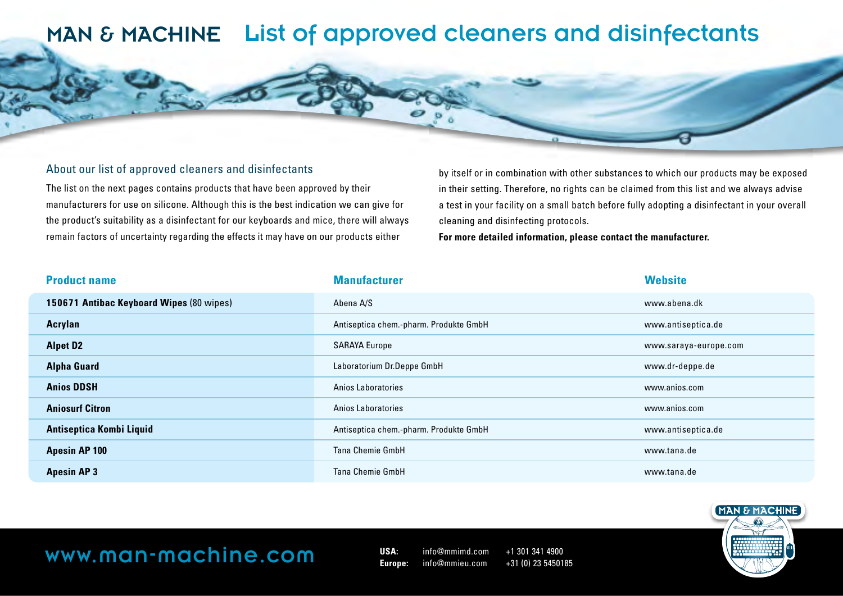#### About our list of approved cleaners and disinfectants

The list on the next pages contains products that have been approved by their manufacturers for use on silicone. Although this is the best indication we can give for the product's suitability as a disinfectant for our keyboards and mice, there will always remain factors of uncertainty regarding the effects it may have on our products either

by itself or in combination with other substances to which our products may be exposed in their setting. Therefore, no rights can be claimed from this list and we always advise a test in your facility on a small batch before fully adopting a disinfectant in your overall cleaning and disinfecting protocols.

**For more detailed information, please contact the manufacturer.**

| <b>Product name</b>                      | <b>Manufacturer</b>                    | <b>Website</b>        |
|------------------------------------------|----------------------------------------|-----------------------|
| 150671 Antibac Keyboard Wipes (80 wipes) | Abena A/S                              | www.abena.dk          |
| Acrylan                                  | Antiseptica chem.-pharm. Produkte GmbH | www.antiseptica.de    |
| <b>Alpet D2</b>                          | <b>SARAYA Europe</b>                   | www.saraya-europe.com |
| <b>Alpha Guard</b>                       | Laboratorium Dr.Deppe GmbH             | www.dr-deppe.de       |
| <b>Anios DDSH</b>                        | Anios Laboratories                     | www.anios.com         |
| <b>Aniosurf Citron</b>                   | Anios Laboratories                     | www.anios.com         |
| <b>Antiseptica Kombi Liquid</b>          | Antiseptica chem.-pharm. Produkte GmbH | www.antiseptica.de    |
| <b>Apesin AP 100</b>                     | <b>Tana Chemie GmbH</b>                | www.tana.de           |
| <b>Apesin AP3</b>                        | <b>Tana Chemie GmbH</b>                | www.tana.de           |

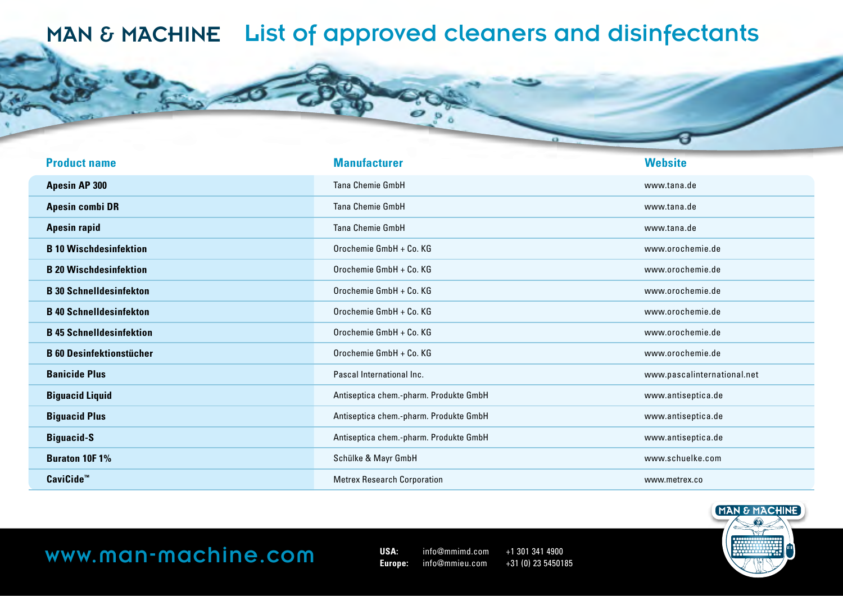| <b>Product name</b>             | <b>Manufacturer</b>                    | <b>Website</b>              |
|---------------------------------|----------------------------------------|-----------------------------|
| <b>Apesin AP 300</b>            | <b>Tana Chemie GmbH</b>                | www.tana.de                 |
| <b>Apesin combi DR</b>          | <b>Tana Chemie GmbH</b>                | www.tana.de                 |
| <b>Apesin rapid</b>             | Tana Chemie GmbH                       | www.tana.de                 |
| <b>B</b> 10 Wischdesinfektion   | Orochemie GmbH + Co. KG                | www.orochemie.de            |
| <b>B 20 Wischdesinfektion</b>   | Orochemie GmbH + Co. KG                | www.orochemie.de            |
| <b>B</b> 30 Schnelldesinfekton  | Orochemie GmbH + Co. KG                | www.orochemie.de            |
| <b>B</b> 40 Schnelldesinfekton  | Orochemie GmbH + Co. KG                | www.orochemie.de            |
| <b>B</b> 45 Schnelldesinfektion | Orochemie GmbH + Co. KG                | www.orochemie.de            |
| <b>B 60 Desinfektionstücher</b> | Orochemie GmbH + Co. KG                | www.orochemie.de            |
| <b>Banicide Plus</b>            | Pascal International Inc.              | www.pascalinternational.net |
| <b>Biguacid Liquid</b>          | Antiseptica chem.-pharm. Produkte GmbH | www.antiseptica.de          |
| <b>Biguacid Plus</b>            | Antiseptica chem.-pharm. Produkte GmbH | www.antiseptica.de          |
| <b>Biguacid-S</b>               | Antiseptica chem.-pharm. Produkte GmbH | www.antiseptica.de          |
| <b>Buraton 10F1%</b>            | Schülke & Mayr GmbH                    | www.schuelke.com            |
| CaviCide <sup>™</sup>           | <b>Metrex Research Corporation</b>     | www.metrex.co               |

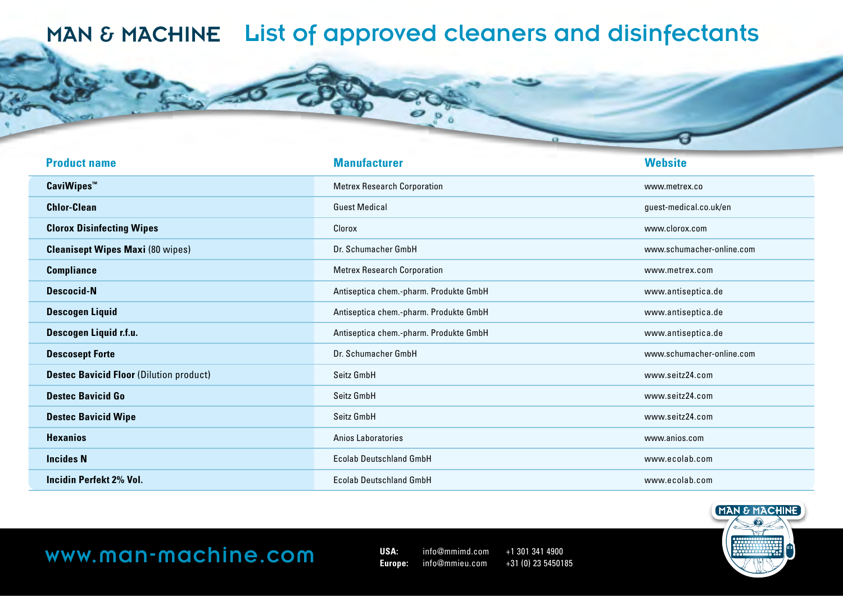| <b>Product name</b>                            | <b>Manufacturer</b>                    | <b>Website</b>            |
|------------------------------------------------|----------------------------------------|---------------------------|
| <b>CaviWipes™</b>                              | <b>Metrex Research Corporation</b>     | www.metrex.co             |
| <b>Chlor-Clean</b>                             | <b>Guest Medical</b>                   | guest-medical.co.uk/en    |
| <b>Clorox Disinfecting Wipes</b>               | Clorox                                 | www.clorox.com            |
| <b>Cleanisept Wipes Maxi (80 wipes)</b>        | Dr. Schumacher GmbH                    | www.schumacher-online.com |
| <b>Compliance</b>                              | <b>Metrex Research Corporation</b>     | www.metrex.com            |
| <b>Descocid-N</b>                              | Antiseptica chem.-pharm. Produkte GmbH | www.antiseptica.de        |
| <b>Descogen Liquid</b>                         | Antiseptica chem.-pharm. Produkte GmbH | www.antiseptica.de        |
| Descogen Liquid r.f.u.                         | Antiseptica chem.-pharm. Produkte GmbH | www.antiseptica.de        |
| <b>Descosept Forte</b>                         | Dr. Schumacher GmbH                    | www.schumacher-online.com |
| <b>Destec Bavicid Floor (Dilution product)</b> | Seitz GmbH                             | www.seitz24.com           |
| <b>Destec Bavicid Go</b>                       | Seitz GmbH                             | www.seitz24.com           |
| <b>Destec Bavicid Wipe</b>                     | Seitz GmbH                             | www.seitz24.com           |
| <b>Hexanios</b>                                | Anios Laboratories                     | www.anios.com             |
| <b>Incides N</b>                               | <b>Ecolab Deutschland GmbH</b>         | www.ecolab.com            |
| <b>Incidin Perfekt 2% Vol.</b>                 | <b>Ecolab Deutschland GmbH</b>         | www.ecolab.com            |

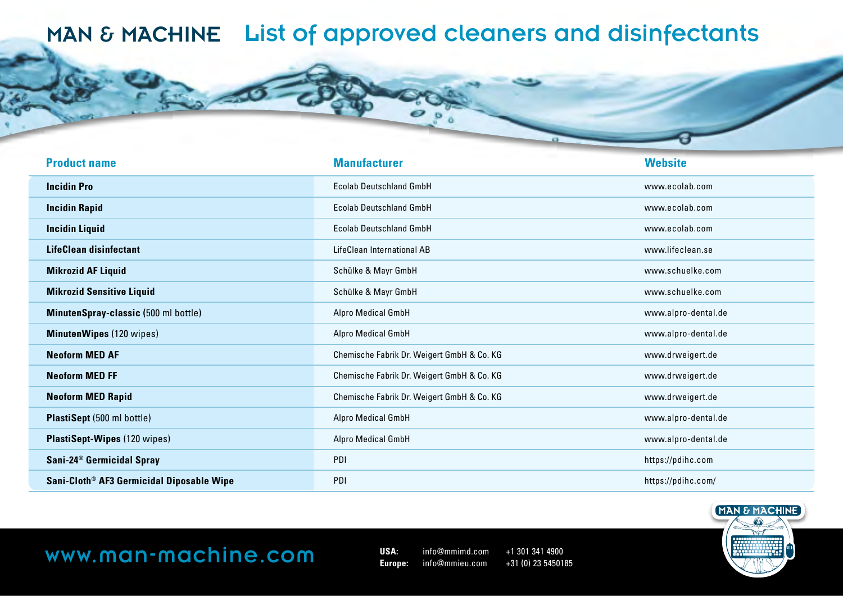| <b>Product name</b>                                   | <b>Manufacturer</b>                        | <b>Website</b>      |
|-------------------------------------------------------|--------------------------------------------|---------------------|
| <b>Incidin Pro</b>                                    | <b>Ecolab Deutschland GmbH</b>             | www.ecolab.com      |
| <b>Incidin Rapid</b>                                  | <b>Ecolab Deutschland GmbH</b>             | www.ecolab.com      |
| <b>Incidin Liquid</b>                                 | <b>Ecolab Deutschland GmbH</b>             | www.ecolab.com      |
| <b>LifeClean disinfectant</b>                         | LifeClean International AB                 | www.lifeclean.se    |
| <b>Mikrozid AF Liquid</b>                             | Schülke & Mayr GmbH                        | www.schuelke.com    |
| <b>Mikrozid Sensitive Liquid</b>                      | Schülke & Mayr GmbH                        | www.schuelke.com    |
| MinutenSpray-classic (500 ml bottle)                  | Alpro Medical GmbH                         | www.alpro-dental.de |
| <b>MinutenWipes (120 wipes)</b>                       | Alpro Medical GmbH                         | www.alpro-dental.de |
| <b>Neoform MED AF</b>                                 | Chemische Fabrik Dr. Weigert GmbH & Co. KG | www.drweigert.de    |
| <b>Neoform MED FF</b>                                 | Chemische Fabrik Dr. Weigert GmbH & Co. KG | www.drweigert.de    |
| <b>Neoform MED Rapid</b>                              | Chemische Fabrik Dr. Weigert GmbH & Co. KG | www.drweigert.de    |
| <b>PlastiSept</b> (500 ml bottle)                     | Alpro Medical GmbH                         | www.alpro-dental.de |
| PlastiSept-Wipes (120 wipes)                          | Alpro Medical GmbH                         | www.alpro-dental.de |
| Sani-24 <sup>®</sup> Germicidal Spray                 | PDI                                        | https://pdihc.com   |
| Sani-Cloth <sup>®</sup> AF3 Germicidal Diposable Wipe | PDI                                        | https://pdihc.com/  |

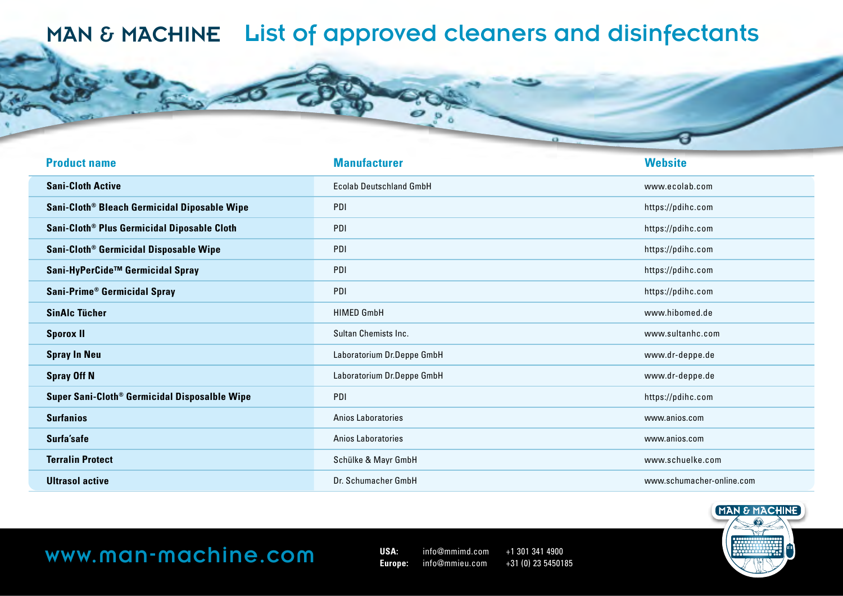| <b>Product name</b>                                       | <b>Manufacturer</b>            | <b>Website</b>            |
|-----------------------------------------------------------|--------------------------------|---------------------------|
| <b>Sani-Cloth Active</b>                                  | <b>Ecolab Deutschland GmbH</b> | www.ecolab.com            |
| Sani-Cloth <sup>®</sup> Bleach Germicidal Diposable Wipe  | PDI                            | https://pdihc.com         |
| Sani-Cloth <sup>®</sup> Plus Germicidal Diposable Cloth   | PDI                            | https://pdihc.com         |
| Sani-Cloth <sup>®</sup> Germicidal Disposable Wipe        | PDI                            | https://pdihc.com         |
| Sani-HyPerCide™ Germicidal Spray                          | PDI                            | https://pdihc.com         |
| Sani-Prime® Germicidal Spray                              | PDI                            | https://pdihc.com         |
| <b>SinAlc Tücher</b>                                      | <b>HIMED GmbH</b>              | www.hibomed.de            |
| <b>Sporox II</b>                                          | Sultan Chemists Inc.           | www.sultanhc.com          |
| <b>Spray In Neu</b>                                       | Laboratorium Dr.Deppe GmbH     | www.dr-deppe.de           |
| <b>Spray Off N</b>                                        | Laboratorium Dr.Deppe GmbH     | www.dr-deppe.de           |
| Super Sani-Cloth <sup>®</sup> Germicidal Disposalble Wipe | PDI                            | https://pdihc.com         |
| <b>Surfanios</b>                                          | Anios Laboratories             | www.anios.com             |
| Surfa'safe                                                | Anios Laboratories             | www.anios.com             |
| <b>Terralin Protect</b>                                   | Schülke & Mayr GmbH            | www.schuelke.com          |
| <b>Ultrasol active</b>                                    | Dr. Schumacher GmbH            | www.schumacher-online.com |



## **WWW.MON-MOChine.com** USA: info@mmimd.com +1 301 341 4900